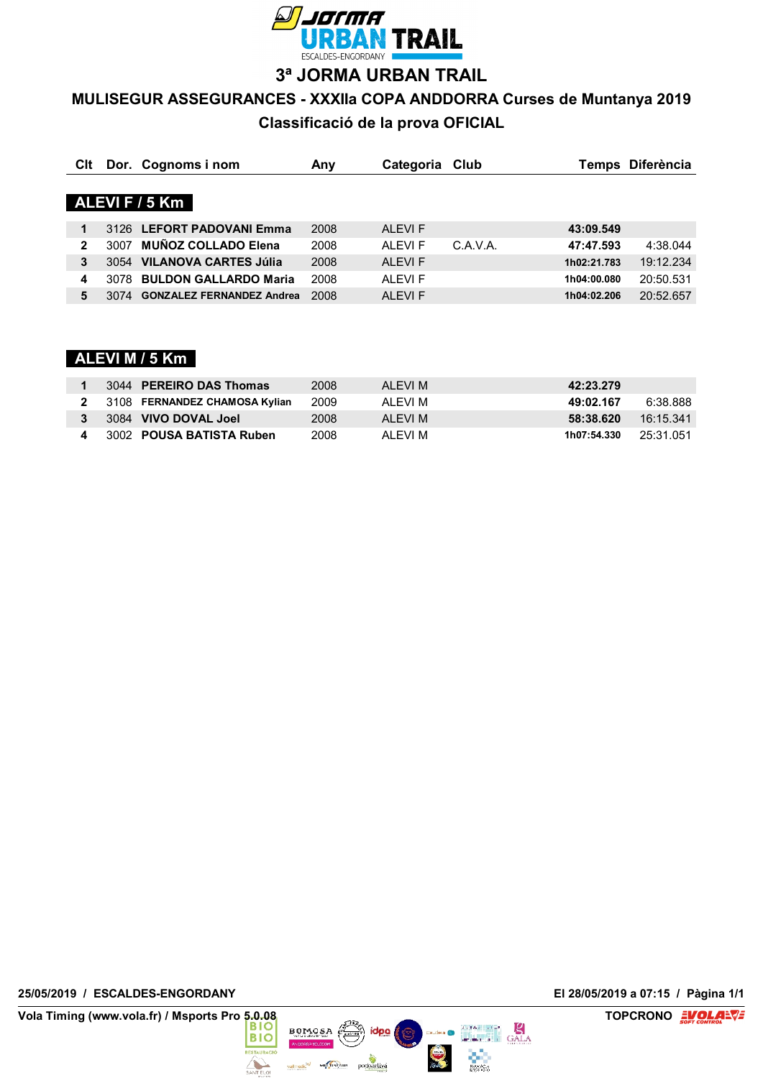

**3ª JORMA URBAN TRAIL**

# **MULISEGUR ASSEGURANCES - XXXIIa COPA ANDDORRA Curses de Muntanya 2019**

**Classificació de la prova OFICIAL**

| Clt |      | Dor. Cognoms i nom               | Any  | Categoria Club |          | Temps       | <b>Diferència</b> |
|-----|------|----------------------------------|------|----------------|----------|-------------|-------------------|
|     |      | ALEVIF / 5 Km                    |      |                |          |             |                   |
| 1   |      | 3126 LEFORT PADOVANI Emma        | 2008 | <b>ALEVIF</b>  |          | 43:09.549   |                   |
| 2   | 3007 | <b>MUÑOZ COLLADO Elena</b>       | 2008 | AI FVI F       | C.A.V.A. | 47:47.593   | 4:38.044          |
| 3   | 3054 | <b>VILANOVA CARTES Júlia</b>     | 2008 | <b>ALEVIF</b>  |          | 1h02:21.783 | 19:12.234         |
| 4   | 3078 | <b>BULDON GALLARDO Maria</b>     | 2008 | ALEVI F        |          | 1h04:00.080 | 20:50.531         |
| 5   | 3074 | <b>GONZALEZ FERNANDEZ Andrea</b> | 2008 | <b>ALEVIF</b>  |          | 1h04:02.206 | 20:52.657         |

# **ALEVI M / 5 Km**

| 3044 PEREIRO DAS Thomas         | 2008 | AI FVI M | 42:23.279                  |
|---------------------------------|------|----------|----------------------------|
| 2 3108 FERNANDEZ CHAMOSA Kylian | 2009 | AI FVI M | 6:38.888<br>49:02.167      |
| 3084 VIVO DOVAL Joel            | 2008 | AI FVI M | 58:38.620<br>16:15.341     |
| 3002 POUSA BATISTA Ruben        | 2008 | AI FVI M | - 25:31.051<br>1h07:54.330 |

**25/05/2019 / ESCALDES-ENGORDANY El 28/05/2019 a 07:15 / Pàgina 1/1**

**Vola Timing (www.vola.fr) / Msports Pro 5.0.08 BIO BIO BIO TOPCRONO EVOLAL** 



ै idpa |

Multiskaus podoacliva

 $rac{1}{2}$ 

D

vall medic<sup>te/</sup>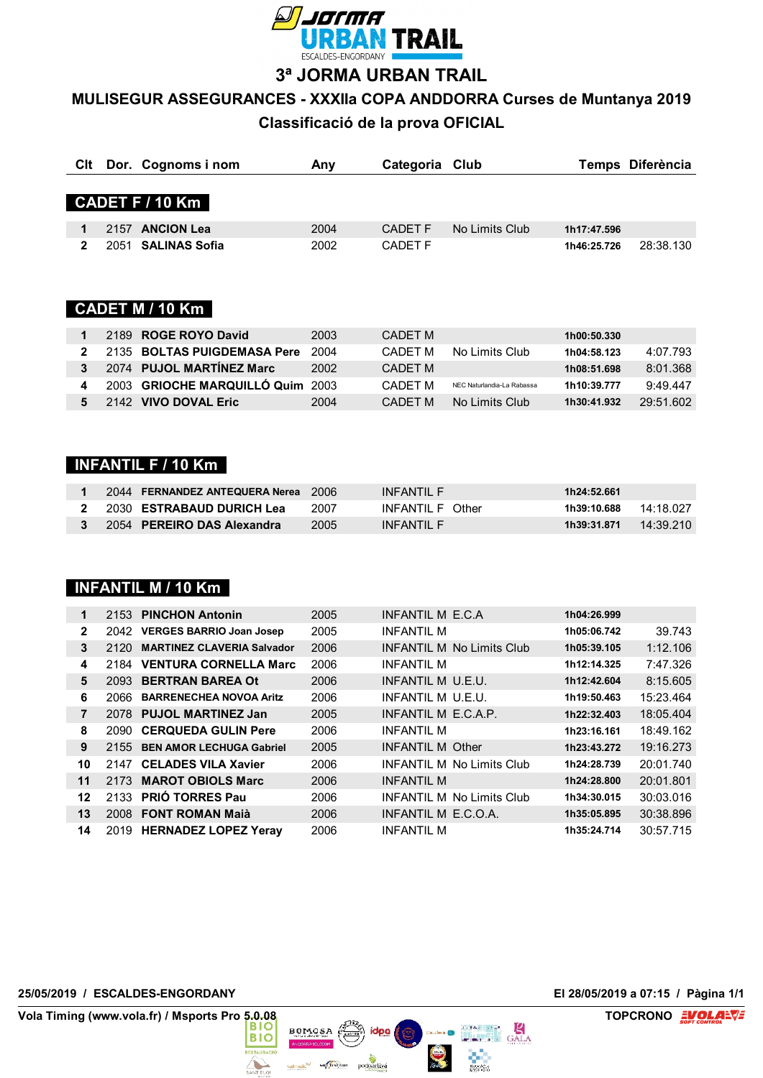

**3ª JORMA URBAN TRAIL**

# **MULISEGUR ASSEGURANCES - XXXIIa COPA ANDDORRA Curses de Muntanya 2019**

**Classificació de la prova OFICIAL**

|  | Cit Dor. Cognoms i nom | Anv  | Categoria Club |                |             | Temps Diferència |
|--|------------------------|------|----------------|----------------|-------------|------------------|
|  | CADET F / 10 Km        |      |                |                |             |                  |
|  | 2157 ANCION Lea        | 2004 | CADET F        | No Limits Club | 1h17:47.596 |                  |
|  | 2051 SALINAS Sofia     | 2002 | <b>CADET F</b> |                | 1h46:25.726 | 28:38.130        |

# **CADET M / 10 Km**

|             | 2189 ROGE ROYO David             | 2003 | CADET M |                            | 1h00:50.330 |           |
|-------------|----------------------------------|------|---------|----------------------------|-------------|-----------|
| $2^{\circ}$ | 2135 BOLTAS PUIGDEMASA Pere      | 2004 | CADFT M | No Limits Club             | 1h04:58.123 | 4:07.793  |
| 3           | 2074 PUJOL MARTÍNEZ Marc         | 2002 | CADFT M |                            | 1h08:51.698 | 8:01.368  |
| 4           | 2003 GRIOCHE MARQUILLÓ Quim 2003 |      | CADFT M | NEC Naturlandia-La Rabassa | 1h10:39.777 | 9.49.447  |
|             | 2142 VIVO DOVAL Eric             | 2004 | CADET M | No Limits Club             | 1h30:41.932 | 29:51.602 |

## **INFANTIL F / 10 Km**

| 2044 FERNANDEZ ANTEQUERA Nerea 2006 |      | INFANTII F       | 1h24:52.661 |           |
|-------------------------------------|------|------------------|-------------|-----------|
| 2 2030 ESTRABAUD DURICH Lea         | 2007 | INFANTII F Other | 1h39:10.688 | 14·18 027 |
| 3 2054 PEREIRO DAS Alexandra        | 2005 | INFANTII F       | 1h39:31.871 | 14:39.210 |

# **INFANTIL M / 10 Km**

| 1              |      | 2153 PINCHON Antonin              | 2005 | INFANTIL M E.C.A                 | 1h04:26.999 |           |
|----------------|------|-----------------------------------|------|----------------------------------|-------------|-----------|
| $\mathbf{2}$   | 2042 | <b>VERGES BARRIO Joan Josep</b>   | 2005 | <b>INFANTIL M</b>                | 1h05:06.742 | 39.743    |
| 3              | 2120 | <b>MARTINEZ CLAVERIA Salvador</b> | 2006 | <b>INFANTIL M No Limits Club</b> | 1h05:39.105 | 1:12.106  |
| 4              | 2184 | <b>VENTURA CORNELLA Marc</b>      | 2006 | <b>INFANTIL M</b>                | 1h12:14.325 | 7:47.326  |
| 5              |      | 2093 BERTRAN BAREA Ot             | 2006 | INFANTIL M U.E.U.                | 1h12:42.604 | 8:15.605  |
| 6              | 2066 | <b>BARRENECHEA NOVOA Aritz</b>    | 2006 | INFANTIL M U.E.U.                | 1h19:50.463 | 15:23.464 |
| $\overline{7}$ |      | 2078 PUJOL MARTINEZ Jan           | 2005 | INFANTIL M E.C.A.P.              | 1h22:32.403 | 18:05.404 |
| 8              | 2090 | <b>CERQUEDA GULIN Pere</b>        | 2006 | <b>INFANTIL M</b>                | 1h23:16.161 | 18:49.162 |
| 9              | 2155 | <b>BEN AMOR LECHUGA Gabriel</b>   | 2005 | <b>INFANTIL M Other</b>          | 1h23:43.272 | 19:16.273 |
| 10             | 2147 | <b>CELADES VILA Xavier</b>        | 2006 | <b>INFANTIL M No Limits Club</b> | 1h24:28.739 | 20:01.740 |
| 11             | 2173 | <b>MAROT OBIOLS Marc</b>          | 2006 | <b>INFANTIL M</b>                | 1h24:28.800 | 20:01.801 |
| 12             |      | 2133 PRIÓ TORRES Pau              | 2006 | <b>INFANTIL M No Limits Club</b> | 1h34:30.015 | 30:03.016 |
| 13             |      | 2008 FONT ROMAN Maià              | 2006 | INFANTIL M E.C.O.A.              | 1h35:05.895 | 30:38.896 |
| 14             |      | 2019 HERNADEZ LOPEZ Yeray         | 2006 | <b>INFANTIL M</b>                | 1h35:24.714 | 30:57.715 |

 $BONOSA$   $(\overrightarrow{CD})$  idea

Multiskaus podoacliva

**第** 

 $\frac{1}{2}$ 

 $rac{1}{2}$ 

**Allen** 

vallmedic<sup>te</sup>

#### **25/05/2019 / ESCALDES-ENGORDANY El 28/05/2019 a 07:15 / Pàgina 1/1**

**Vola Timing (www.vola.fr) / Msports Pro 5.0.08 BIO BOOK BOOK BOOK CONO EVOLA<sup>LVE</sup>**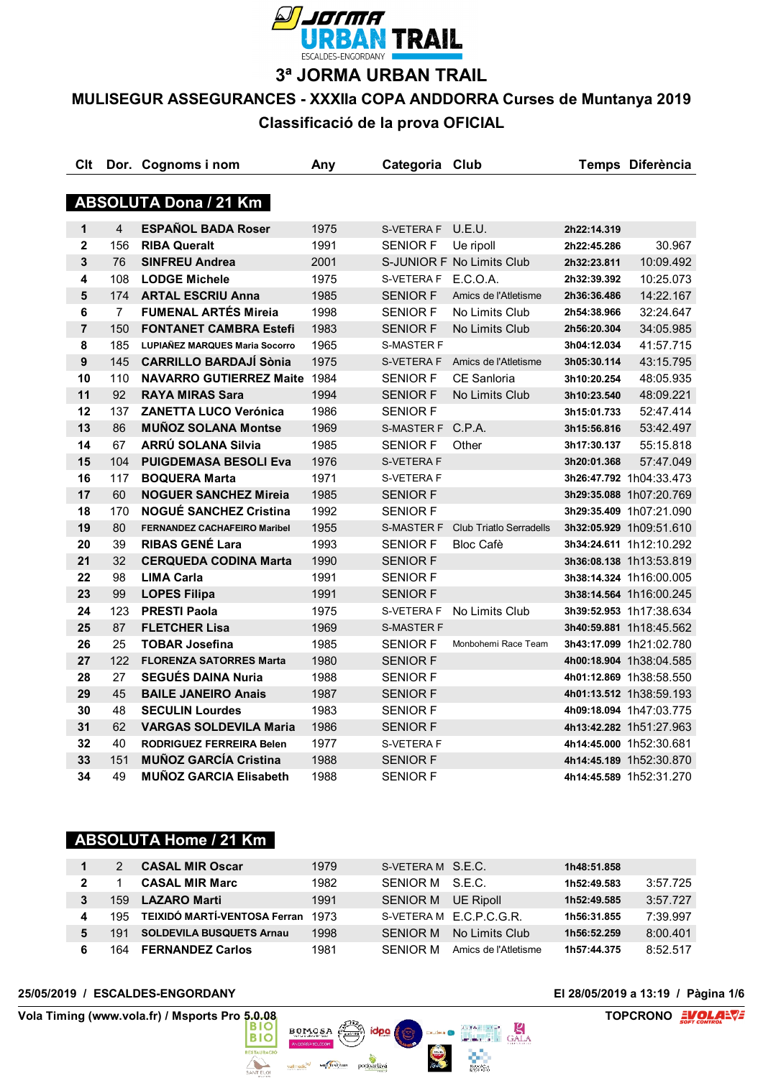

**3ª JORMA URBAN TRAIL**

# **MULISEGUR ASSEGURANCES - XXXIIa COPA ANDDORRA Curses de Muntanya 2019**

**Classificació de la prova OFICIAL**

| Clt              |                | Dor. Cognoms i nom                  | Any  | Categoria Club    |                                |             | Temps Diferència        |
|------------------|----------------|-------------------------------------|------|-------------------|--------------------------------|-------------|-------------------------|
|                  |                |                                     |      |                   |                                |             |                         |
|                  |                | <b>ABSOLUTA Dona / 21 Km</b>        |      |                   |                                |             |                         |
| $\mathbf 1$      | $\overline{4}$ | <b>ESPAÑOL BADA Roser</b>           | 1975 | S-VETERA F        | U.E.U.                         | 2h22:14.319 |                         |
| $\mathbf{2}$     | 156            | <b>RIBA Queralt</b>                 | 1991 | <b>SENIOR F</b>   | Ue ripoll                      | 2h22:45.286 | 30.967                  |
| 3                | 76             | <b>SINFREU Andrea</b>               | 2001 |                   | S-JUNIOR F No Limits Club      | 2h32:23.811 | 10:09.492               |
| 4                | 108            | <b>LODGE Michele</b>                | 1975 | S-VETERA F        | E.C.O.A.                       | 2h32:39.392 | 10:25.073               |
| 5                | 174            | <b>ARTAL ESCRIU Anna</b>            | 1985 | <b>SENIOR F</b>   | Amics de l'Atletisme           | 2h36:36.486 | 14:22.167               |
| 6                | $\overline{7}$ | <b>FUMENAL ARTÉS Mireia</b>         | 1998 | <b>SENIOR F</b>   | No Limits Club                 | 2h54:38.966 | 32:24.647               |
| $\overline{7}$   | 150            | <b>FONTANET CAMBRA Estefi</b>       | 1983 | <b>SENIOR F</b>   | No Limits Club                 | 2h56:20.304 | 34:05.985               |
| 8                | 185            | LUPIAÑEZ MARQUES Maria Socorro      | 1965 | <b>S-MASTER F</b> |                                | 3h04:12.034 | 41:57.715               |
| $\boldsymbol{9}$ | 145            | <b>CARRILLO BARDAJÍ Sònia</b>       | 1975 | S-VETERA F        | Amics de l'Atletisme           | 3h05:30.114 | 43:15.795               |
| 10               | 110            | <b>NAVARRO GUTIERREZ Maite</b>      | 1984 | <b>SENIOR F</b>   | <b>CE Sanloria</b>             | 3h10:20.254 | 48:05.935               |
| 11               | 92             | <b>RAYA MIRAS Sara</b>              | 1994 | <b>SENIOR F</b>   | No Limits Club                 | 3h10:23.540 | 48:09.221               |
| 12               | 137            | <b>ZANETTA LUCO Verónica</b>        | 1986 | <b>SENIOR F</b>   |                                | 3h15:01.733 | 52:47.414               |
| 13               | 86             | <b>MUÑOZ SOLANA Montse</b>          | 1969 | S-MASTER F        | C.P.A.                         | 3h15:56.816 | 53:42.497               |
| 14               | 67             | ARRÚ SOLANA Silvia                  | 1985 | <b>SENIOR F</b>   | Other                          | 3h17:30.137 | 55:15.818               |
| 15               | 104            | <b>PUIGDEMASA BESOLI Eva</b>        | 1976 | S-VETERA F        |                                | 3h20:01.368 | 57:47.049               |
| 16               | 117            | <b>BOQUERA Marta</b>                | 1971 | S-VETERA F        |                                |             | 3h26:47.792 1h04:33.473 |
| 17               | 60             | <b>NOGUER SANCHEZ Mireia</b>        | 1985 | <b>SENIOR F</b>   |                                |             | 3h29:35.088 1h07:20.769 |
| 18               | 170            | <b>NOGUÉ SANCHEZ Cristina</b>       | 1992 | <b>SENIOR F</b>   |                                |             | 3h29:35.409 1h07:21.090 |
| 19               | 80             | <b>FERNANDEZ CACHAFEIRO Maribel</b> | 1955 | <b>S-MASTER F</b> | <b>Club Triatlo Serradells</b> |             | 3h32:05.929 1h09:51.610 |
| 20               | 39             | <b>RIBAS GENÉ Lara</b>              | 1993 | <b>SENIOR F</b>   | <b>Bloc Cafè</b>               |             | 3h34:24.611 1h12:10.292 |
| 21               | 32             | <b>CERQUEDA CODINA Marta</b>        | 1990 | <b>SENIOR F</b>   |                                |             | 3h36:08.138 1h13:53.819 |
| 22               | 98             | <b>LIMA Carla</b>                   | 1991 | <b>SENIOR F</b>   |                                |             | 3h38:14.324 1h16:00.005 |
| 23               | 99             | <b>LOPES Filipa</b>                 | 1991 | <b>SENIOR F</b>   |                                |             | 3h38:14.564 1h16:00.245 |
| 24               | 123            | <b>PRESTI Paola</b>                 | 1975 | S-VETERA F        | No Limits Club                 |             | 3h39:52.953 1h17:38.634 |
| 25               | 87             | <b>FLETCHER Lisa</b>                | 1969 | <b>S-MASTER F</b> |                                |             | 3h40:59.881 1h18:45.562 |
| 26               | 25             | <b>TOBAR Josefina</b>               | 1985 | <b>SENIOR F</b>   | Monbohemi Race Team            |             | 3h43:17.099 1h21:02.780 |
| 27               | 122            | <b>FLORENZA SATORRES Marta</b>      | 1980 | <b>SENIOR F</b>   |                                |             | 4h00:18.904 1h38:04.585 |
| 28               | 27             | <b>SEGUÉS DAINA Nuria</b>           | 1988 | <b>SENIOR F</b>   |                                |             | 4h01:12.869 1h38:58.550 |
| 29               | 45             | <b>BAILE JANEIRO Anais</b>          | 1987 | <b>SENIOR F</b>   |                                |             | 4h01:13.512 1h38:59.193 |
| 30               | 48             | <b>SECULIN Lourdes</b>              | 1983 | <b>SENIOR F</b>   |                                |             | 4h09:18.094 1h47:03.775 |
| 31               | 62             | <b>VARGAS SOLDEVILA Maria</b>       | 1986 | <b>SENIOR F</b>   |                                |             | 4h13:42.282 1h51:27.963 |
| 32               | 40             | <b>RODRIGUEZ FERREIRA Belen</b>     | 1977 | S-VETERA F        |                                |             | 4h14:45.000 1h52:30.681 |
| 33               | 151            | <b>MUÑOZ GARCÍA Cristina</b>        | 1988 | <b>SENIOR F</b>   |                                |             | 4h14:45.189 1h52:30.870 |
| 34               | 49             | <b>MUÑOZ GARCIA Elisabeth</b>       | 1988 | SENIOR F          |                                |             | 4h14:45.589 1h52:31.270 |

# **ABSOLUTA Home / 21 Km**

|              |      | <b>CASAL MIR Oscar</b>           | 1979 | S-VETERAM S.E.C.   |                        | 1h48:51.858 |          |
|--------------|------|----------------------------------|------|--------------------|------------------------|-------------|----------|
| $\mathbf{2}$ |      | <b>CASAL MIR Marc</b>            | 1982 | SENIOR M S.E.C.    |                        | 1h52:49.583 | 3:57.725 |
| 3            | 159. | <b>LAZARO Marti</b>              | 1991 | SENIOR M UE Ripoll |                        | 1h52:49.585 | 3:57.727 |
| 4            |      | 195 TEIXIDÓ MARTÍ-VENTOSA Ferran | 1973 |                    | S-VETERAM E.C.P.C.G.R. | 1h56:31.855 | 7:39.997 |
| 5            | 191  | <b>SOLDEVILA BUSQUETS Arnau</b>  | 1998 | SFNIOR M           | No Limits Club         | 1h56:52.259 | 8:00.401 |
|              | 164  | <b>FERNANDEZ Carlos</b>          | 1981 | SENIOR M           | Amics de l'Atletisme   | 1h57:44.375 | 8:52.517 |

valmedic<sup>le/</sup> Ministèrus podoacliva

**The Contract of the Contract of the Contract of the Contract of the Contract of the Contract of the Contract of The Contract of The Contract of The Contract of The Contract of The Contract of The Contract of The Contract** 

#### **25/05/2019 / ESCALDES-ENGORDANY El 28/05/2019 a 13:19 / Pàgina 1/6**

 $rac{1}{2}$ 

**Allen** 

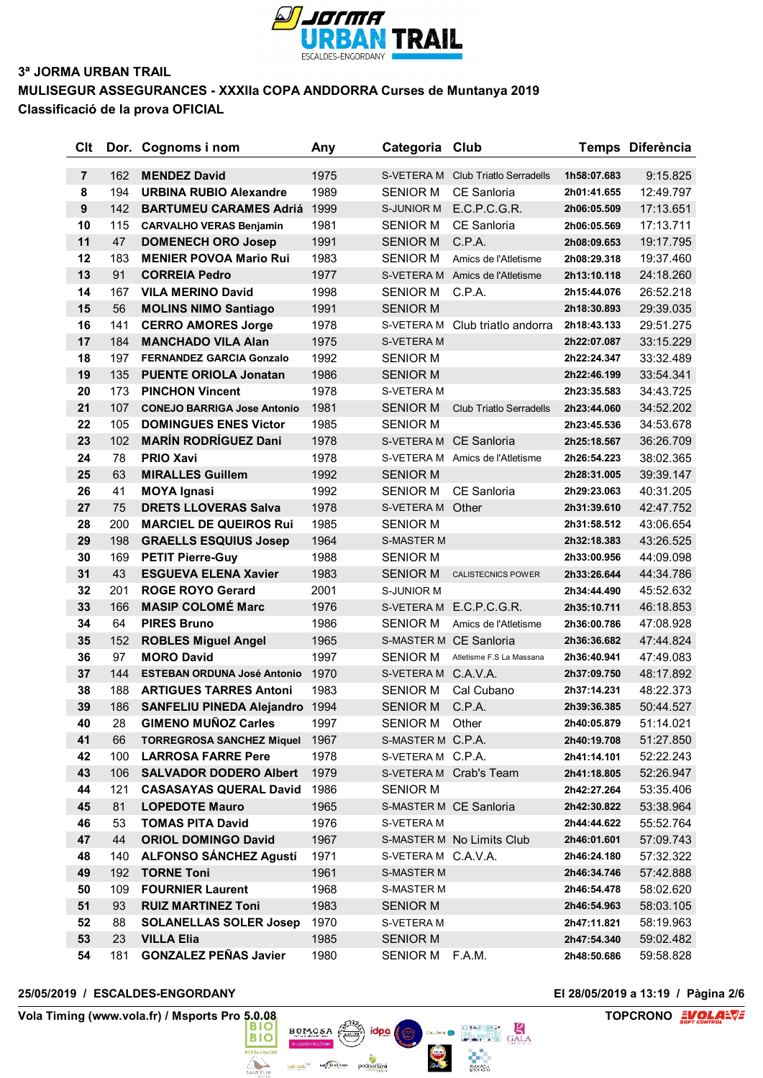

## **3ª JORMA URBAN TRAIL MULISEGUR ASSEGURANCES - XXXIIa COPA ANDDORRA Curses de Muntanya 2019 Classificació de la prova OFICIAL**

| Clt              |     | Dor. Cognoms i nom                 | Any  | Categoria Club      |                                 |             | Temps Diferència |
|------------------|-----|------------------------------------|------|---------------------|---------------------------------|-------------|------------------|
| $\overline{7}$   | 162 | <b>MENDEZ David</b>                | 1975 | S-VETERA M          | <b>Club Triatlo Serradells</b>  | 1h58:07.683 | 9:15.825         |
| 8                | 194 | <b>URBINA RUBIO Alexandre</b>      | 1989 | <b>SENIOR M</b>     | <b>CE Sanloria</b>              | 2h01:41.655 | 12:49.797        |
| $\boldsymbol{9}$ | 142 | <b>BARTUMEU CARAMES Adriá</b>      | 1999 | S-JUNIOR M          | E.C.P.C.G.R.                    | 2h06:05.509 | 17:13.651        |
| 10               | 115 | <b>CARVALHO VERAS Benjamin</b>     | 1981 | SENIOR M            | CE Sanloria                     | 2h06:05.569 | 17:13.711        |
| 11               | 47  | <b>DOMENECH ORO Josep</b>          | 1991 | <b>SENIOR M</b>     | C.P.A.                          | 2h08:09.653 | 19:17.795        |
| 12               | 183 | <b>MENIER POVOA Mario Rui</b>      | 1983 | <b>SENIOR M</b>     | Amics de l'Atletisme            | 2h08:29.318 | 19:37.460        |
| 13               | 91  | <b>CORREIA Pedro</b>               | 1977 |                     | S-VETERA M Amics de l'Atletisme | 2h13:10.118 | 24:18.260        |
| 14               | 167 | <b>VILA MERINO David</b>           | 1998 | SENIOR M            | C.P.A.                          | 2h15:44.076 | 26:52.218        |
| 15               | 56  | <b>MOLINS NIMO Santiago</b>        | 1991 | <b>SENIOR M</b>     |                                 | 2h18:30.893 | 29:39.035        |
| 16               | 141 | <b>CERRO AMORES Jorge</b>          | 1978 | S-VETERA M          | Club triatlo andorra            | 2h18:43.133 | 29:51.275        |
| 17               | 184 | <b>MANCHADO VILA Alan</b>          | 1975 | S-VETERA M          |                                 | 2h22:07.087 | 33:15.229        |
| 18               | 197 | <b>FERNANDEZ GARCIA Gonzalo</b>    | 1992 | <b>SENIOR M</b>     |                                 | 2h22:24.347 | 33:32.489        |
| 19               | 135 | <b>PUENTE ORIOLA Jonatan</b>       | 1986 | <b>SENIOR M</b>     |                                 | 2h22:46.199 | 33:54.341        |
| 20               | 173 | <b>PINCHON Vincent</b>             | 1978 | S-VETERA M          |                                 | 2h23:35.583 | 34:43.725        |
| 21               | 107 | <b>CONEJO BARRIGA Jose Antonio</b> | 1981 | <b>SENIOR M</b>     | <b>Club Triatlo Serradells</b>  | 2h23:44.060 | 34:52.202        |
| 22               | 105 | <b>DOMINGUES ENES Victor</b>       | 1985 | <b>SENIOR M</b>     |                                 | 2h23:45.536 | 34:53.678        |
| 23               | 102 | <b>MARÍN RODRÍGUEZ Dani</b>        | 1978 |                     | S-VETERA M CE Sanloria          | 2h25:18.567 | 36:26.709        |
| 24               | 78  | <b>PRIO Xavi</b>                   | 1978 |                     | S-VETERA M Amics de l'Atletisme | 2h26:54.223 | 38:02.365        |
| 25               | 63  | <b>MIRALLES Guillem</b>            | 1992 | <b>SENIOR M</b>     |                                 | 2h28:31.005 | 39:39.147        |
| 26               | 41  | <b>MOYA Ignasi</b>                 | 1992 | SENIOR M            | <b>CE Sanloria</b>              | 2h29:23.063 | 40:31.205        |
| 27               | 75  | <b>DRETS LLOVERAS Salva</b>        | 1978 | S-VETERA M Other    |                                 | 2h31:39.610 | 42:47.752        |
| 28               | 200 | <b>MARCIEL DE QUEIROS Rui</b>      | 1985 | <b>SENIOR M</b>     |                                 | 2h31:58.512 | 43:06.654        |
| 29               | 198 | <b>GRAELLS ESQUIUS Josep</b>       | 1964 | <b>S-MASTER M</b>   |                                 | 2h32:18.383 | 43:26.525        |
| 30               | 169 | <b>PETIT Pierre-Guy</b>            | 1988 | <b>SENIOR M</b>     |                                 | 2h33:00.956 | 44:09.098        |
| 31               | 43  | <b>ESGUEVA ELENA Xavier</b>        | 1983 | <b>SENIOR M</b>     | <b>CALISTECNICS POWER</b>       | 2h33:26.644 | 44:34.786        |
| 32               | 201 | <b>ROGE ROYO Gerard</b>            | 2001 | S-JUNIOR M          |                                 | 2h34:44.490 | 45:52.632        |
| 33               | 166 | <b>MASIP COLOMÉ Marc</b>           | 1976 | S-VETERA M          | E.C.P.C.G.R.                    | 2h35:10.711 | 46:18.853        |
| 34               | 64  | <b>PIRES Bruno</b>                 | 1986 | <b>SENIOR M</b>     | Amics de l'Atletisme            | 2h36:00.786 | 47:08.928        |
| 35               | 152 | <b>ROBLES Miguel Angel</b>         | 1965 |                     | S-MASTER M CE Sanloria          | 2h36:36.682 | 47:44.824        |
| 36               | 97  | <b>MORO David</b>                  | 1997 | <b>SENIOR M</b>     | Atletisme F.S La Massana        | 2h36:40.941 | 47:49.083        |
| 37               | 144 | <b>ESTEBAN ORDUNA José Antonio</b> | 1970 | S-VETERA M C.A.V.A. |                                 | 2h37:09.750 | 48:17.892        |
| 38               | 188 | <b>ARTIGUES TARRES Antoni</b>      | 1983 | SENIOR M            | Cal Cubano                      | 2h37:14.231 | 48:22.373        |
| 39               | 186 | <b>SANFELIU PINEDA Alejandro</b>   | 1994 | <b>SENIOR M</b>     | C.P.A.                          | 2h39:36.385 | 50:44.527        |
| 40               | 28  | <b>GIMENO MUÑOZ Carles</b>         | 1997 | SENIOR M Other      |                                 | 2h40:05.879 | 51:14.021        |
| 41               | 66  | <b>TORREGROSA SANCHEZ Miquel</b>   | 1967 | S-MASTER M C.P.A.   |                                 | 2h40:19.708 | 51:27.850        |
| 42               | 100 | <b>LARROSA FARRE Pere</b>          | 1978 | S-VETERAM C.P.A.    |                                 | 2h41:14.101 | 52:22.243        |
| 43               | 106 | <b>SALVADOR DODERO Albert</b>      | 1979 |                     | S-VETERA M Crab's Team          | 2h41:18.805 | 52:26.947        |
| 44               | 121 | <b>CASASAYAS QUERAL David</b>      | 1986 | SENIOR M            |                                 | 2h42:27.264 | 53:35.406        |
| 45               | 81  | <b>LOPEDOTE Mauro</b>              | 1965 |                     | S-MASTER M CE Sanloria          | 2h42:30.822 | 53:38.964        |
| 46               | 53  | <b>TOMAS PITA David</b>            | 1976 | S-VETERA M          |                                 | 2h44:44.622 | 55:52.764        |
| 47               | 44  | <b>ORIOL DOMINGO David</b>         | 1967 |                     | S-MASTER M No Limits Club       | 2h46:01.601 | 57:09.743        |
| 48               | 140 | <b>ALFONSO SÁNCHEZ Agustí</b>      | 1971 | S-VETERA M C.A.V.A. |                                 | 2h46:24.180 | 57:32.322        |
| 49               | 192 | <b>TORNE Toni</b>                  | 1961 | <b>S-MASTER M</b>   |                                 | 2h46:34.746 | 57:42.888        |
| 50               | 109 | <b>FOURNIER Laurent</b>            | 1968 | S-MASTER M          |                                 | 2h46:54.478 | 58:02.620        |
| 51               | 93  | <b>RUIZ MARTINEZ Toni</b>          | 1983 | <b>SENIOR M</b>     |                                 | 2h46:54.963 | 58:03.105        |
| 52               | 88  | <b>SOLANELLAS SOLER Josep</b>      | 1970 | S-VETERA M          |                                 | 2h47:11.821 | 58:19.963        |
| 53               | 23  | <b>VILLA Elia</b>                  | 1985 | SENIOR M            |                                 | 2h47:54.340 | 59:02.482        |
| 54               | 181 | <b>GONZALEZ PEÑAS Javier</b>       | 1980 | SENIOR M            | F.A.M.                          | 2h48:50.686 | 59:58.828        |

 $BOMOSA$ 

valmedic<sup>le/</sup> Ministèrus podoacliva

**STAURAC** 

 $\triangle$ 

idpa

 $\sum_{i=1}^{n}$ 

### **25/05/2019 / ESCALDES-ENGORDANY El 28/05/2019 a 13:19 / Pàgina 2/6**

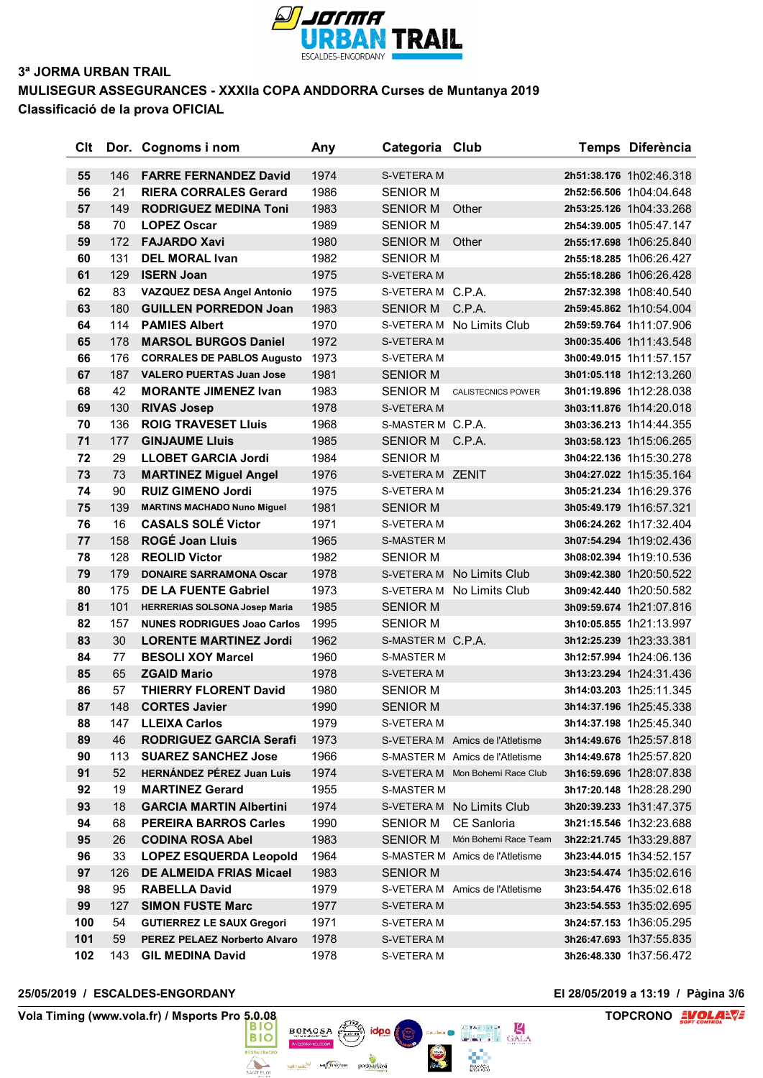

# **3ª JORMA URBAN TRAIL MULISEGUR ASSEGURANCES - XXXIIa COPA ANDDORRA Curses de Muntanya 2019**

**Classificació de la prova OFICIAL**

| Clt |     | Dor. Cognoms i nom                   | Any  | Categoria Club    |                                 | Temps Diferència        |
|-----|-----|--------------------------------------|------|-------------------|---------------------------------|-------------------------|
| 55  | 146 | <b>FARRE FERNANDEZ David</b>         | 1974 | <b>S-VETERA M</b> |                                 | 2h51:38.176 1h02:46.318 |
| 56  | 21  | <b>RIERA CORRALES Gerard</b>         | 1986 | <b>SENIOR M</b>   |                                 | 2h52:56.506 1h04:04.648 |
| 57  | 149 | <b>RODRIGUEZ MEDINA Toni</b>         | 1983 | <b>SENIOR M</b>   | Other                           | 2h53:25.126 1h04:33.268 |
| 58  | 70  | <b>LOPEZ Oscar</b>                   | 1989 | <b>SENIOR M</b>   |                                 | 2h54:39.005 1h05:47.147 |
| 59  | 172 | <b>FAJARDO Xavi</b>                  | 1980 | <b>SENIOR M</b>   | Other                           | 2h55:17.698 1h06:25.840 |
| 60  | 131 | <b>DEL MORAL Ivan</b>                | 1982 | <b>SENIOR M</b>   |                                 | 2h55:18.285 1h06:26.427 |
| 61  | 129 | <b>ISERN Joan</b>                    | 1975 | <b>S-VETERA M</b> |                                 | 2h55:18.286 1h06:26.428 |
| 62  | 83  | VAZQUEZ DESA Angel Antonio           | 1975 | S-VETERA M C.P.A. |                                 | 2h57:32.398 1h08:40.540 |
| 63  | 180 | <b>GUILLEN PORREDON Joan</b>         | 1983 | SENIOR M          | C.P.A.                          | 2h59:45.862 1h10:54.004 |
| 64  | 114 | <b>PAMIES Albert</b>                 | 1970 |                   | S-VETERA M No Limits Club       | 2h59:59.764 1h11:07.906 |
| 65  | 178 | <b>MARSOL BURGOS Daniel</b>          | 1972 | S-VETERA M        |                                 | 3h00:35.406 1h11:43.548 |
| 66  | 176 | <b>CORRALES DE PABLOS Augusto</b>    | 1973 | S-VETERA M        |                                 | 3h00:49.015 1h11:57.157 |
| 67  | 187 | <b>VALERO PUERTAS Juan Jose</b>      | 1981 | <b>SENIOR M</b>   |                                 | 3h01:05.118 1h12:13.260 |
| 68  | 42  | <b>MORANTE JIMENEZ Ivan</b>          | 1983 | <b>SENIOR M</b>   | <b>CALISTECNICS POWER</b>       | 3h01:19.896 1h12:28.038 |
| 69  | 130 | <b>RIVAS Josep</b>                   | 1978 | S-VETERA M        |                                 | 3h03:11.876 1h14:20.018 |
| 70  | 136 | <b>ROIG TRAVESET Lluis</b>           | 1968 | S-MASTER M C.P.A. |                                 | 3h03:36.213 1h14:44.355 |
| 71  | 177 | <b>GINJAUME Lluis</b>                | 1985 | <b>SENIOR M</b>   | C.P.A.                          | 3h03:58.123 1h15:06.265 |
| 72  | 29  | <b>LLOBET GARCIA Jordi</b>           | 1984 | <b>SENIOR M</b>   |                                 | 3h04:22.136 1h15:30.278 |
| 73  | 73  | <b>MARTINEZ Miguel Angel</b>         | 1976 | S-VETERA M ZENIT  |                                 | 3h04:27.022 1h15:35.164 |
| 74  | 90  | <b>RUIZ GIMENO Jordi</b>             | 1975 | S-VETERA M        |                                 | 3h05:21.234 1h16:29.376 |
| 75  | 139 | <b>MARTINS MACHADO Nuno Miguel</b>   | 1981 | <b>SENIOR M</b>   |                                 | 3h05:49.179 1h16:57.321 |
| 76  | 16  | <b>CASALS SOLÉ Victor</b>            | 1971 | S-VETERA M        |                                 | 3h06:24.262 1h17:32.404 |
| 77  | 158 | <b>ROGÉ Joan Lluis</b>               | 1965 | <b>S-MASTER M</b> |                                 | 3h07:54.294 1h19:02.436 |
| 78  | 128 | <b>REOLID Victor</b>                 | 1982 | <b>SENIOR M</b>   |                                 | 3h08:02.394 1h19:10.536 |
| 79  | 179 | <b>DONAIRE SARRAMONA Oscar</b>       | 1978 |                   | S-VETERA M No Limits Club       | 3h09:42.380 1h20:50.522 |
| 80  | 175 | <b>DE LA FUENTE Gabriel</b>          | 1973 | S-VETERA M        | No Limits Club                  | 3h09:42.440 1h20:50.582 |
| 81  | 101 | <b>HERRERIAS SOLSONA Josep Maria</b> | 1985 | <b>SENIOR M</b>   |                                 | 3h09:59.674 1h21:07.816 |
| 82  | 157 | <b>NUNES RODRIGUES Joao Carlos</b>   | 1995 | <b>SENIOR M</b>   |                                 | 3h10:05.855 1h21:13.997 |
| 83  | 30  | <b>LORENTE MARTINEZ Jordi</b>        | 1962 | S-MASTER M C.P.A. |                                 | 3h12:25.239 1h23:33.381 |
| 84  | 77  | <b>BESOLI XOY Marcel</b>             | 1960 | <b>S-MASTER M</b> |                                 | 3h12:57.994 1h24:06.136 |
| 85  | 65  | <b>ZGAID Mario</b>                   | 1978 | S-VETERA M        |                                 | 3h13:23.294 1h24:31.436 |
| 86  | 57  | <b>THIERRY FLORENT David</b>         | 1980 | <b>SENIOR M</b>   |                                 | 3h14:03.203 1h25:11.345 |
| 87  | 148 | <b>CORTES Javier</b>                 | 1990 | <b>SENIOR M</b>   |                                 | 3h14:37.196 1h25:45.338 |
| 88  | 147 | <b>LLEIXA Carlos</b>                 | 1979 | S-VETERA M        |                                 | 3h14:37.198 1h25:45.340 |
| 89  | 46  | <b>RODRIGUEZ GARCIA Serafi</b>       | 1973 |                   | S-VETERA M Amics de l'Atletisme | 3h14:49.676 1h25:57.818 |
| 90  | 113 | <b>SUAREZ SANCHEZ Jose</b>           | 1966 |                   | S-MASTER M Amics de l'Atletisme | 3h14:49.678 1h25:57.820 |
| 91  | 52  | <b>HERNÁNDEZ PÉREZ Juan Luis</b>     | 1974 |                   | S-VETERA M Mon Bohemi Race Club | 3h16:59.696 1h28:07.838 |
| 92  | 19  | <b>MARTINEZ Gerard</b>               | 1955 | <b>S-MASTER M</b> |                                 | 3h17:20.148 1h28:28.290 |
| 93  | 18  | <b>GARCIA MARTIN Albertini</b>       | 1974 |                   | S-VETERA M No Limits Club       | 3h20:39.233 1h31:47.375 |
| 94  | 68  | <b>PEREIRA BARROS Carles</b>         | 1990 | SENIOR M          | CE Sanloria                     | 3h21:15.546 1h32:23.688 |
| 95  | 26  | <b>CODINA ROSA Abel</b>              | 1983 | <b>SENIOR M</b>   | Món Bohemi Race Team            | 3h22:21.745 1h33:29.887 |
| 96  | 33  | <b>LOPEZ ESQUERDA Leopold</b>        | 1964 |                   | S-MASTER M Amics de l'Atletisme | 3h23:44.015 1h34:52.157 |
| 97  | 126 | <b>DE ALMEIDA FRIAS Micael</b>       | 1983 | <b>SENIOR M</b>   |                                 | 3h23:54.474 1h35:02.616 |
| 98  | 95  | <b>RABELLA David</b>                 | 1979 |                   | S-VETERA M Amics de l'Atletisme | 3h23:54.476 1h35:02.618 |
| 99  | 127 | <b>SIMON FUSTE Marc</b>              | 1977 | S-VETERA M        |                                 | 3h23:54.553 1h35:02.695 |
| 100 | 54  | <b>GUTIERREZ LE SAUX Gregori</b>     | 1971 | S-VETERA M        |                                 | 3h24:57.153 1h36:05.295 |
| 101 | 59  | PEREZ PELAEZ Norberto Alvaro         | 1978 | S-VETERA M        |                                 | 3h26:47.693 1h37:55.835 |
| 102 | 143 | <b>GIL MEDINA David</b>              | 1978 | S-VETERA M        |                                 | 3h26:48.330 1h37:56.472 |

 $BOMOSA$ 

valmedic<sup>le/</sup> Ministèrus podoacliva

**STAURAC** 

 $\triangle$ 

idpa

 $\sum_{i=1}^{n}$ 

### **25/05/2019 / ESCALDES-ENGORDANY El 28/05/2019 a 13:19 / Pàgina 3/6**

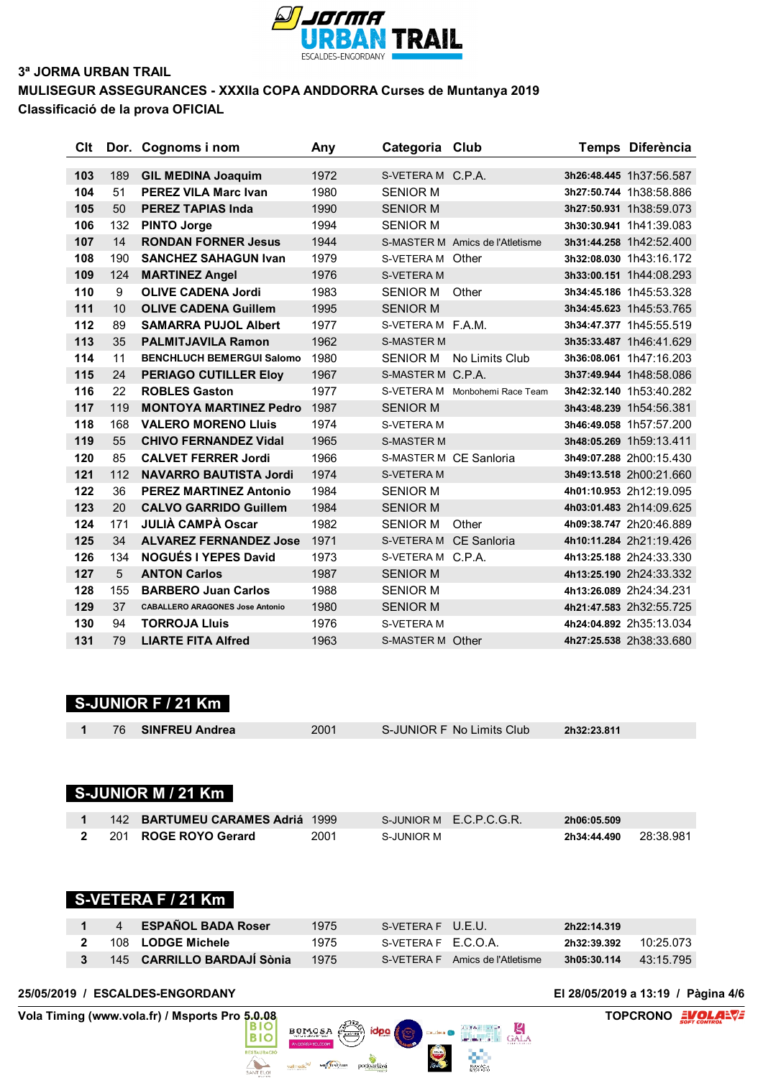

### **3ª JORMA URBAN TRAIL MULISEGUR ASSEGURANCES - XXXIIa COPA ANDDORRA Curses de Muntanya 2019**

**Classificació de la prova OFICIAL**

| Clt |     | Dor. Cognoms i nom                     | Any  | Categoria Club    |                                 | Temps Diferència        |
|-----|-----|----------------------------------------|------|-------------------|---------------------------------|-------------------------|
|     |     |                                        |      |                   |                                 |                         |
| 103 | 189 | <b>GIL MEDINA Joaquim</b>              | 1972 | S-VETERA M C.P.A. |                                 | 3h26:48.445 1h37:56.587 |
| 104 | 51  | <b>PEREZ VILA Marc Ivan</b>            | 1980 | <b>SENIOR M</b>   |                                 | 3h27:50.744 1h38:58.886 |
| 105 | 50  | <b>PEREZ TAPIAS Inda</b>               | 1990 | <b>SENIOR M</b>   |                                 | 3h27:50.931 1h38:59.073 |
| 106 | 132 | <b>PINTO Jorge</b>                     | 1994 | <b>SENIOR M</b>   |                                 | 3h30:30.941 1h41:39.083 |
| 107 | 14  | <b>RONDAN FORNER Jesus</b>             | 1944 |                   | S-MASTER M Amics de l'Atletisme | 3h31:44.258 1h42:52.400 |
| 108 | 190 | <b>SANCHEZ SAHAGUN Ivan</b>            | 1979 | S-VETERA M Other  |                                 | 3h32:08.030 1h43:16.172 |
| 109 | 124 | <b>MARTINEZ Angel</b>                  | 1976 | <b>S-VETERA M</b> |                                 | 3h33:00.151 1h44:08.293 |
| 110 | 9   | <b>OLIVE CADENA Jordi</b>              | 1983 | <b>SENIOR M</b>   | Other                           | 3h34:45.186 1h45:53.328 |
| 111 | 10  | <b>OLIVE CADENA Guillem</b>            | 1995 | <b>SENIOR M</b>   |                                 | 3h34:45.623 1h45:53.765 |
| 112 | 89  | <b>SAMARRA PUJOL Albert</b>            | 1977 | S-VETERA M F.A.M. |                                 | 3h34:47.377 1h45:55.519 |
| 113 | 35  | <b>PALMITJAVILA Ramon</b>              | 1962 | <b>S-MASTER M</b> |                                 | 3h35:33.487 1h46:41.629 |
| 114 | 11  | <b>BENCHLUCH BEMERGUI Salomo</b>       | 1980 | <b>SENIOR M</b>   | No Limits Club                  | 3h36:08.061 1h47:16.203 |
| 115 | 24  | <b>PERIAGO CUTILLER Eloy</b>           | 1967 | S-MASTER M C.P.A. |                                 | 3h37:49.944 1h48:58.086 |
| 116 | 22  | <b>ROBLES Gaston</b>                   | 1977 |                   | S-VETERA M Monbohemi Race Team  | 3h42:32.140 1h53:40.282 |
| 117 | 119 | <b>MONTOYA MARTINEZ Pedro</b>          | 1987 | <b>SENIOR M</b>   |                                 | 3h43:48.239 1h54:56.381 |
| 118 | 168 | <b>VALERO MORENO Lluis</b>             | 1974 | <b>S-VETERA M</b> |                                 | 3h46:49.058 1h57:57.200 |
| 119 | 55  | <b>CHIVO FERNANDEZ Vidal</b>           | 1965 | <b>S-MASTER M</b> |                                 | 3h48:05.269 1h59:13.411 |
| 120 | 85  | <b>CALVET FERRER Jordi</b>             | 1966 |                   | S-MASTER M CF Sanloria          | 3h49:07.288 2h00:15.430 |
| 121 | 112 | <b>NAVARRO BAUTISTA Jordi</b>          | 1974 | <b>S-VETERA M</b> |                                 | 3h49:13.518 2h00:21.660 |
| 122 | 36  | <b>PEREZ MARTINEZ Antonio</b>          | 1984 | <b>SENIOR M</b>   |                                 | 4h01:10.953 2h12:19.095 |
| 123 | 20  | <b>CALVO GARRIDO Guillem</b>           | 1984 | <b>SENIOR M</b>   |                                 | 4h03:01.483 2h14:09.625 |
| 124 | 171 | <b>JULIÀ CAMPÀ Oscar</b>               | 1982 | <b>SENIOR M</b>   | Other                           | 4h09:38.747 2h20:46.889 |
| 125 | 34  | <b>ALVAREZ FERNANDEZ Jose</b>          | 1971 | <b>S-VETERA M</b> | CE Sanloria                     | 4h10:11.284 2h21:19.426 |
| 126 | 134 | <b>NOGUÉS I YEPES David</b>            | 1973 | S-VETERA M C.P.A. |                                 | 4h13:25.188 2h24:33.330 |
| 127 | 5   | <b>ANTON Carlos</b>                    | 1987 | <b>SENIOR M</b>   |                                 | 4h13:25.190 2h24:33.332 |
| 128 | 155 | <b>BARBERO Juan Carlos</b>             | 1988 | <b>SENIOR M</b>   |                                 | 4h13:26.089 2h24:34.231 |
| 129 | 37  | <b>CABALLERO ARAGONES Jose Antonio</b> | 1980 | <b>SENIOR M</b>   |                                 | 4h21:47.583 2h32:55.725 |
| 130 | 94  | <b>TORROJA Lluis</b>                   | 1976 | <b>S-VETERAM</b>  |                                 | 4h24:04.892 2h35:13.034 |
| 131 | 79  | <b>LIARTE FITA Alfred</b>              | 1963 | S-MASTER M Other  |                                 | 4h27:25.538 2h38:33.680 |
|     |     |                                        |      |                   |                                 |                         |

# **S-JUNIOR F / 21 Km**

| 76 | SINFREU Andrea | 2001 | S-JUNIOR F No Limits Club | 2h32:23.811 |  |
|----|----------------|------|---------------------------|-------------|--|
|    |                |      |                           |             |  |

# **S-JUNIOR M / 21 Km**

|  | 142 BARTUMEU CARAMES Adriá 1999 |      |            | S-JUNIOR M E.C.P.C.G.R. | 2h06:05.509 |           |
|--|---------------------------------|------|------------|-------------------------|-------------|-----------|
|  | 2 201 ROGE ROYO Gerard          | 2001 | S-JUNIOR M |                         | 2h34:44.490 | 28:38.981 |

# **S-VETERA F / 21 Km**

| $\overline{4}$ | <b>ESPAÑOL BADA Roser</b>  | 1975 | S-VETERA FU.F.U.    |                                 | 2h22:14.319 |           |
|----------------|----------------------------|------|---------------------|---------------------------------|-------------|-----------|
|                | 108 LODGE Michele          | 1975 | S-VETERA F F.C.O.A. |                                 | 2h32:39.392 | 10:25 073 |
|                | 145 CARRILLO BARDAJI Sònia | 1975 |                     | S-VETERA F Amics de l'Atletisme | 3h05:30.114 | 43:15.795 |

idpa (

 $BOMOSA$ 

valmedic<sup>le/</sup> Ministèrus podoacliva

 $rac{1}{2}$ 

 $\sum_{n=1}^{\infty}$ 

#### **25/05/2019 / ESCALDES-ENGORDANY El 28/05/2019 a 13:19 / Pàgina 4/6**

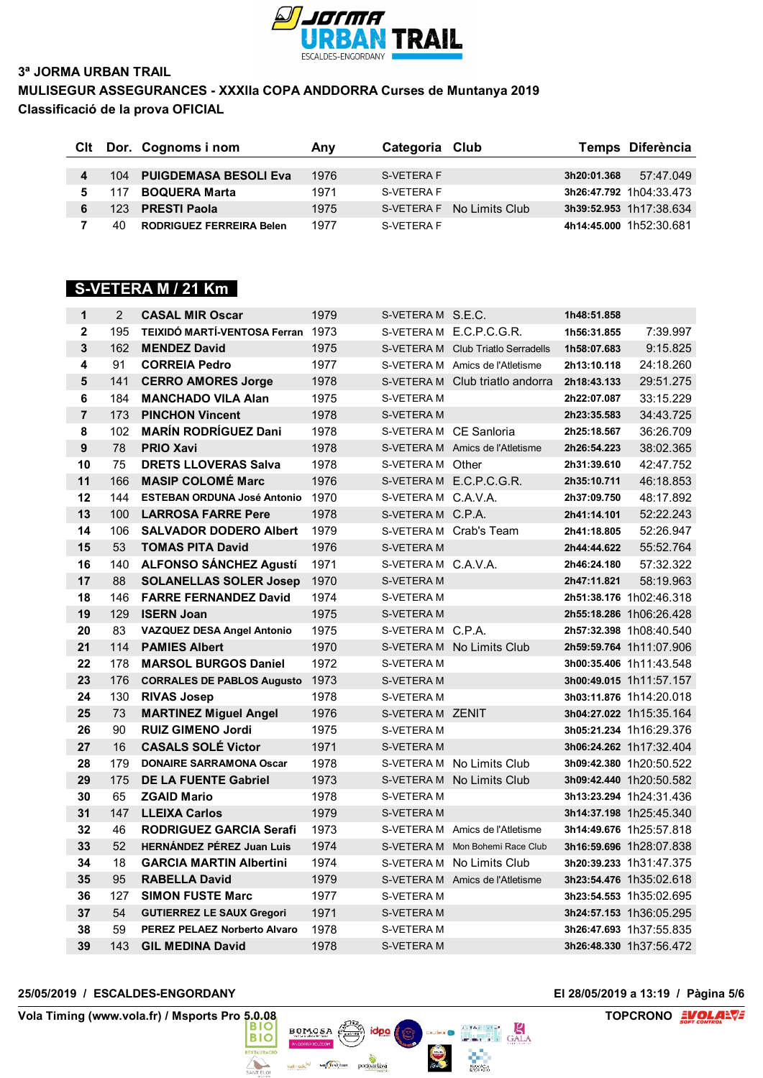

## **3ª JORMA URBAN TRAIL MULISEGUR ASSEGURANCES - XXXIIa COPA ANDDORRA Curses de Muntanya 2019 Classificació de la prova OFICIAL**

|     | CIt Dor. Cognoms i nom          | Any  | Categoria Club |                            |             | Temps Diferència        |
|-----|---------------------------------|------|----------------|----------------------------|-------------|-------------------------|
|     |                                 |      |                |                            |             |                         |
|     | 104 PUIGDEMASA BESOLI Eva       | 1976 | S-VETERA F     |                            | 3h20:01.368 | 57:47.049               |
| 117 | <b>BOQUERA Marta</b>            | 1971 | S-VETERA F     |                            |             | 3h26:47.792 1h04:33.473 |
| 123 | <b>PRESTI Paola</b>             | 1975 |                | S-VETERA F No I imits Club |             | 3h39:52.953 1h17:38.634 |
| 40  | <b>RODRIGUEZ FERREIRA Belen</b> | 1977 | S-VETERA F     |                            |             | 4h14:45.000 1h52:30.681 |

# **S-VETERA M / 21 Km**

| $\mathbf 1$             | $\overline{2}$ | <b>CASAL MIR Oscar</b>             | 1979 | S-VETERAM S.E.C.       |                                    | 1h48:51.858 |                         |
|-------------------------|----------------|------------------------------------|------|------------------------|------------------------------------|-------------|-------------------------|
| $\mathbf 2$             | 195            | TEIXIDÓ MARTÍ-VENTOSA Ferran 1973  |      |                        | S-VETERAM E.C.P.C.G.R.             | 1h56:31.855 | 7:39.997                |
| $\overline{\mathbf{3}}$ | 162            | <b>MENDEZ David</b>                | 1975 |                        | S-VETERA M Club Triatlo Serradells | 1h58:07.683 | 9:15.825                |
| 4                       | 91             | <b>CORREIA Pedro</b>               | 1977 |                        | S-VETERA M Amics de l'Atletisme    | 2h13:10.118 | 24:18.260               |
| 5                       | 141            | <b>CERRO AMORES Jorge</b>          | 1978 |                        | S-VETERA M Club triatlo andorra    | 2h18:43.133 | 29:51.275               |
| 6                       | 184            | <b>MANCHADO VILA Alan</b>          | 1975 | S-VETERA M             |                                    | 2h22:07.087 | 33:15.229               |
| $\overline{7}$          | 173            | <b>PINCHON Vincent</b>             | 1978 | S-VETERA M             |                                    | 2h23:35.583 | 34:43.725               |
| 8                       | 102            | <b>MARÍN RODRÍGUEZ Dani</b>        | 1978 | S-VETERA M CE Sanloria |                                    | 2h25:18.567 | 36:26.709               |
| 9                       | 78             | <b>PRIO Xavi</b>                   | 1978 |                        | S-VETERA M Amics de l'Atletisme    | 2h26:54.223 | 38:02.365               |
| 10                      | 75             | <b>DRETS LLOVERAS Salva</b>        | 1978 | S-VETERA M Other       |                                    | 2h31:39.610 | 42:47.752               |
| 11                      | 166            | <b>MASIP COLOMÉ Marc</b>           | 1976 |                        | S-VETERA M E.C.P.C.G.R.            | 2h35:10.711 | 46:18.853               |
| 12                      | 144            | <b>ESTEBAN ORDUNA José Antonio</b> | 1970 | S-VETERA M C.A.V.A.    |                                    | 2h37:09.750 | 48:17.892               |
| 13                      | 100            | <b>LARROSA FARRE Pere</b>          | 1978 | S-VETERA M C.P.A.      |                                    | 2h41:14.101 | 52:22.243               |
| 14                      | 106            | <b>SALVADOR DODERO Albert</b>      | 1979 |                        | S-VETERAM Crab's Team              | 2h41:18.805 | 52:26.947               |
| 15                      | 53             | <b>TOMAS PITA David</b>            | 1976 | S-VETERA M             |                                    | 2h44:44.622 | 55:52.764               |
| 16                      | 140            | <b>ALFONSO SÁNCHEZ Agustí</b>      | 1971 | S-VETERA M C.A.V.A.    |                                    | 2h46:24.180 | 57:32.322               |
| 17                      | 88             | <b>SOLANELLAS SOLER Josep</b>      | 1970 | S-VETERA M             |                                    | 2h47:11.821 | 58:19.963               |
| 18                      | 146            | <b>FARRE FERNANDEZ David</b>       | 1974 | S-VETERA M             |                                    |             | 2h51:38.176 1h02:46.318 |
| 19                      | 129            | <b>ISERN Joan</b>                  | 1975 | S-VETERA M             |                                    |             | 2h55:18.286 1h06:26.428 |
| 20                      | 83             | <b>VAZQUEZ DESA Angel Antonio</b>  | 1975 | S-VETERA M C.P.A.      |                                    |             | 2h57:32.398 1h08:40.540 |
| 21                      | 114            | <b>PAMIES Albert</b>               | 1970 |                        | S-VETERA M No Limits Club          |             | 2h59:59.764 1h11:07.906 |
| 22                      | 178            | <b>MARSOL BURGOS Daniel</b>        | 1972 | S-VETERA M             |                                    |             | 3h00:35.406 1h11:43.548 |
| 23                      | 176            | <b>CORRALES DE PABLOS Augusto</b>  | 1973 | S-VETERA M             |                                    |             | 3h00:49.015 1h11:57.157 |
| 24                      | 130            | <b>RIVAS Josep</b>                 | 1978 | S-VETERA M             |                                    |             | 3h03:11.876 1h14:20.018 |
| 25                      | 73             | <b>MARTINEZ Miguel Angel</b>       | 1976 | S-VETERA M ZENIT       |                                    |             | 3h04:27.022 1h15:35.164 |
| 26                      | 90             | <b>RUIZ GIMENO Jordi</b>           | 1975 | S-VETERA M             |                                    |             | 3h05:21.234 1h16:29.376 |
| 27                      | 16             | <b>CASALS SOLÉ Victor</b>          | 1971 | S-VETERA M             |                                    |             | 3h06:24.262 1h17:32.404 |
| 28                      | 179            | <b>DONAIRE SARRAMONA Oscar</b>     | 1978 |                        | S-VETERA M No Limits Club          |             | 3h09:42.380 1h20:50.522 |
| 29                      | 175            | <b>DE LA FUENTE Gabriel</b>        | 1973 |                        | S-VETERA M No Limits Club          |             | 3h09:42.440 1h20:50.582 |
| 30                      | 65             | <b>ZGAID Mario</b>                 | 1978 | S-VETERA M             |                                    |             | 3h13:23.294 1h24:31.436 |
| 31                      | 147            | <b>LLEIXA Carlos</b>               | 1979 | <b>S-VETERAM</b>       |                                    |             | 3h14:37.198 1h25:45.340 |
| 32                      | 46             | <b>RODRIGUEZ GARCIA Serafi</b>     | 1973 |                        | S-VETERA M Amics de l'Atletisme    |             | 3h14:49.676 1h25:57.818 |
| 33                      | 52             | <b>HERNÁNDEZ PÉREZ Juan Luis</b>   | 1974 | S-VETERA M             | Mon Bohemi Race Club               |             | 3h16:59.696 1h28:07.838 |
| 34                      | 18             | <b>GARCIA MARTIN Albertini</b>     | 1974 |                        | S-VETERAM No Limits Club           |             | 3h20:39.233 1h31:47.375 |
| 35                      | 95             | <b>RABELLA David</b>               | 1979 |                        | S-VETERA M Amics de l'Atletisme    |             | 3h23:54.476 1h35:02.618 |
| 36                      | 127            | <b>SIMON FUSTE Marc</b>            | 1977 | S-VETERA M             |                                    |             | 3h23:54.553 1h35:02.695 |
| 37                      | 54             | <b>GUTIERREZ LE SAUX Gregori</b>   | 1971 | S-VETERA M             |                                    |             | 3h24:57.153 1h36:05.295 |
| 38                      | 59             | PEREZ PELAEZ Norberto Alvaro       | 1978 | S-VETERA M             |                                    |             | 3h26:47.693 1h37:55.835 |
| 39                      | 143            | <b>GIL MEDINA David</b>            | 1978 | S-VETERA M             |                                    |             | 3h26:48.330 1h37:56.472 |

#### **25/05/2019 / ESCALDES-ENGORDANY El 28/05/2019 a 13:19 / Pàgina 5/6**

**Vola Timing (www.vola.fr) / Msports Pro 5.0.08 BIO BIO BIO TOPCRONO EVOLAL** 

Murrareus podoacliva vall medic<sup>le/</sup>

 $rac{1}{2}$ 

 $\overline{\phantom{a}}$ 

idpa